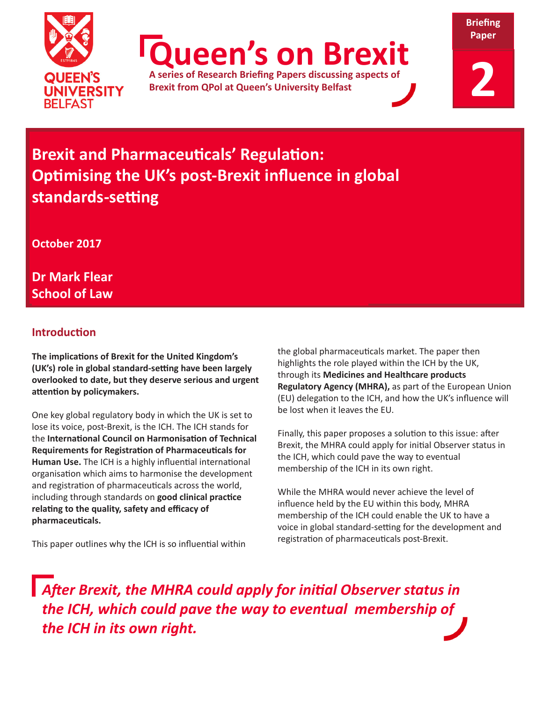

**Queen's on Brexit**

**A series of Research Briefing Papers discussing aspects of Brexit from QPol at Queen's University Belfast**

**Briefing** 

# **Brexit and Pharmaceuticals' Regulation: Optimising the UK's post-Brexit influence in global standards-setting**

**October 2017**

**Dr Mark Flear School of Law**

# **Introduction**

**The implications of Brexit for the United Kingdom's (UK's) role in global standard-setting have been largely overlooked to date, but they deserve serious and urgent attention by policymakers.** 

One key global regulatory body in which the UK is set to lose its voice, post-Brexit, is the ICH. The ICH stands for the **International Council on Harmonisation of Technical Requirements for Registration of Pharmaceuticals for Human Use.** The ICH is a highly influential international organisation which aims to harmonise the development and registration of pharmaceuticals across the world, including through standards on **good clinical practice relating to the quality, safety and efficacy of pharmaceuticals.**

This paper outlines why the ICH is so influential within

the global pharmaceuticals market. The paper then highlights the role played within the ICH by the UK, through its **Medicines and Healthcare products Regulatory Agency (MHRA),** as part of the European Union (EU) delegation to the ICH, and how the UK's influence will be lost when it leaves the EU.

Finally, this paper proposes a solution to this issue: after Brexit, the MHRA could apply for initial Observer status in the ICH, which could pave the way to eventual membership of the ICH in its own right.

While the MHRA would never achieve the level of influence held by the EU within this body, MHRA membership of the ICH could enable the UK to have a voice in global standard-setting for the development and registration of pharmaceuticals post-Brexit.

*After Brexit, the MHRA could apply for initial Observer status in the ICH, which could pave the way to eventual membership of the ICH in its own right.*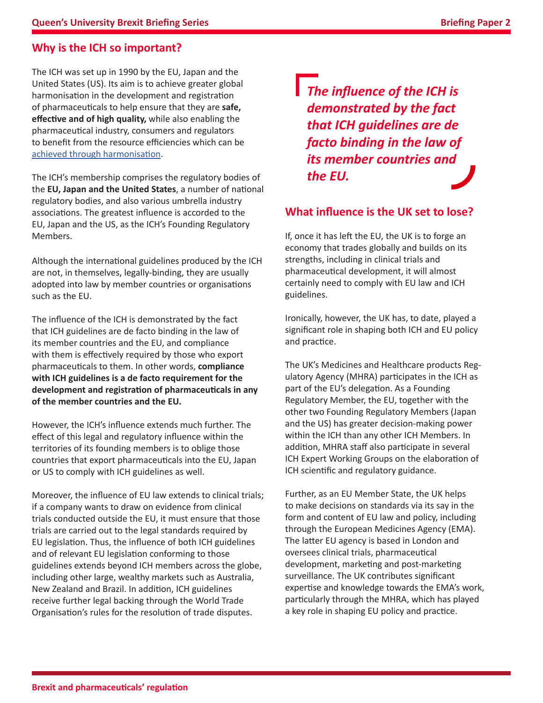# **Why is the ICH so important?**

The ICH was set up in 1990 by the EU, Japan and the United States (US). Its aim is to achieve greater global harmonisation in the development and registration of pharmaceuticals to help ensure that they are **safe, effective and of high quality,** while also enabling the pharmaceutical industry, consumers and regulators to benefit from the resource efficiencies which can be [achieved through harmonisation](http://www.ich.org/home.html).

The ICH's membership comprises the regulatory bodies of the **EU, Japan and the United States**, a number of national regulatory bodies, and also various umbrella industry associations. The greatest influence is accorded to the EU, Japan and the US, as the ICH's Founding Regulatory Members.

Although the international guidelines produced by the ICH are not, in themselves, legally-binding, they are usually adopted into law by member countries or organisations such as the EU.

The influence of the ICH is demonstrated by the fact that ICH guidelines are de facto binding in the law of its member countries and the EU, and compliance with them is effectively required by those who export pharmaceuticals to them. In other words, **compliance with ICH guidelines is a de facto requirement for the development and registration of pharmaceuticals in any of the member countries and the EU.** 

However, the ICH's influence extends much further. The effect of this legal and regulatory influence within the territories of its founding members is to oblige those countries that export pharmaceuticals into the EU, Japan or US to comply with ICH guidelines as well.

Moreover, the influence of EU law extends to clinical trials; if a company wants to draw on evidence from clinical trials conducted outside the EU, it must ensure that those trials are carried out to the legal standards required by EU legislation. Thus, the influence of both ICH guidelines and of relevant EU legislation conforming to those guidelines extends beyond ICH members across the globe, including other large, wealthy markets such as Australia, New Zealand and Brazil. In addition, ICH guidelines receive further legal backing through the World Trade Organisation's rules for the resolution of trade disputes.

*The influence of the ICH is demonstrated by the fact that ICH guidelines are de facto binding in the law of its member countries and the EU.*

#### **What influence is the UK set to lose?**

If, once it has left the EU, the UK is to forge an economy that trades globally and builds on its strengths, including in clinical trials and pharmaceutical development, it will almost certainly need to comply with EU law and ICH guidelines.

Ironically, however, the UK has, to date, played a significant role in shaping both ICH and EU policy and practice.

The UK's Medicines and Healthcare products Regulatory Agency (MHRA) participates in the ICH as part of the EU's delegation. As a Founding Regulatory Member, the EU, together with the other two Founding Regulatory Members (Japan and the US) has greater decision-making power within the ICH than any other ICH Members. In addition, MHRA staff also participate in several ICH Expert Working Groups on the elaboration of ICH scientific and regulatory guidance.

Further, as an EU Member State, the UK helps to make decisions on standards via its say in the form and content of EU law and policy, including through the European Medicines Agency (EMA). The latter EU agency is based in London and oversees clinical trials, pharmaceutical development, marketing and post-marketing surveillance. The UK contributes significant expertise and knowledge towards the EMA's work, particularly through the MHRA, which has played a key role in shaping EU policy and practice.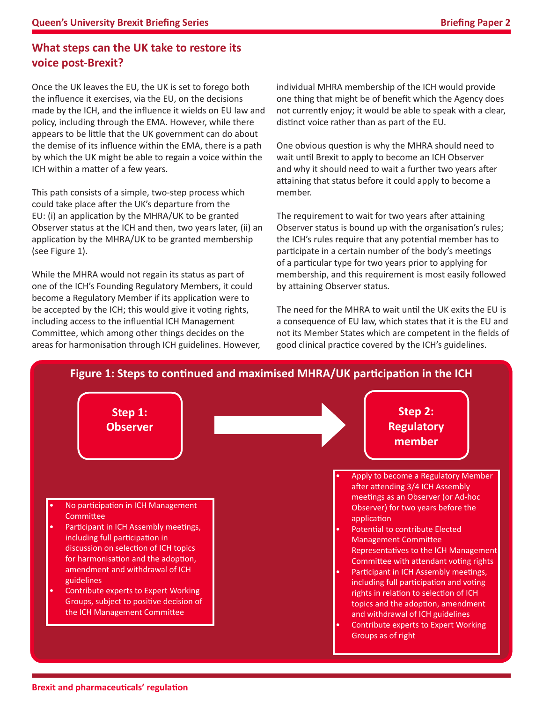### **What steps can the UK take to restore its voice post-Brexit?**

Once the UK leaves the EU, the UK is set to forego both the influence it exercises, via the EU, on the decisions made by the ICH, and the influence it wields on EU law and policy, including through the EMA. However, while there appears to be little that the UK government can do about the demise of its influence within the EMA, there is a path by which the UK might be able to regain a voice within the ICH within a matter of a few years.

This path consists of a simple, two-step process which could take place after the UK's departure from the EU: (i) an application by the MHRA/UK to be granted Observer status at the ICH and then, two years later, (ii) an application by the MHRA/UK to be granted membership (see Figure 1).

While the MHRA would not regain its status as part of one of the ICH's Founding Regulatory Members, it could become a Regulatory Member if its application were to be accepted by the ICH; this would give it voting rights, including access to the influential ICH Management Committee, which among other things decides on the areas for harmonisation through ICH guidelines. However, individual MHRA membership of the ICH would provide one thing that might be of benefit which the Agency does not currently enjoy; it would be able to speak with a clear, distinct voice rather than as part of the EU.

One obvious question is why the MHRA should need to wait until Brexit to apply to become an ICH Observer and why it should need to wait a further two years after attaining that status before it could apply to become a member.

The requirement to wait for two years after attaining Observer status is bound up with the organisation's rules; the ICH's rules require that any potential member has to participate in a certain number of the body's meetings of a particular type for two years prior to applying for membership, and this requirement is most easily followed by attaining Observer status.

The need for the MHRA to wait until the UK exits the EU is a consequence of EU law, which states that it is the EU and not its Member States which are competent in the fields of good clinical practice covered by the ICH's guidelines.